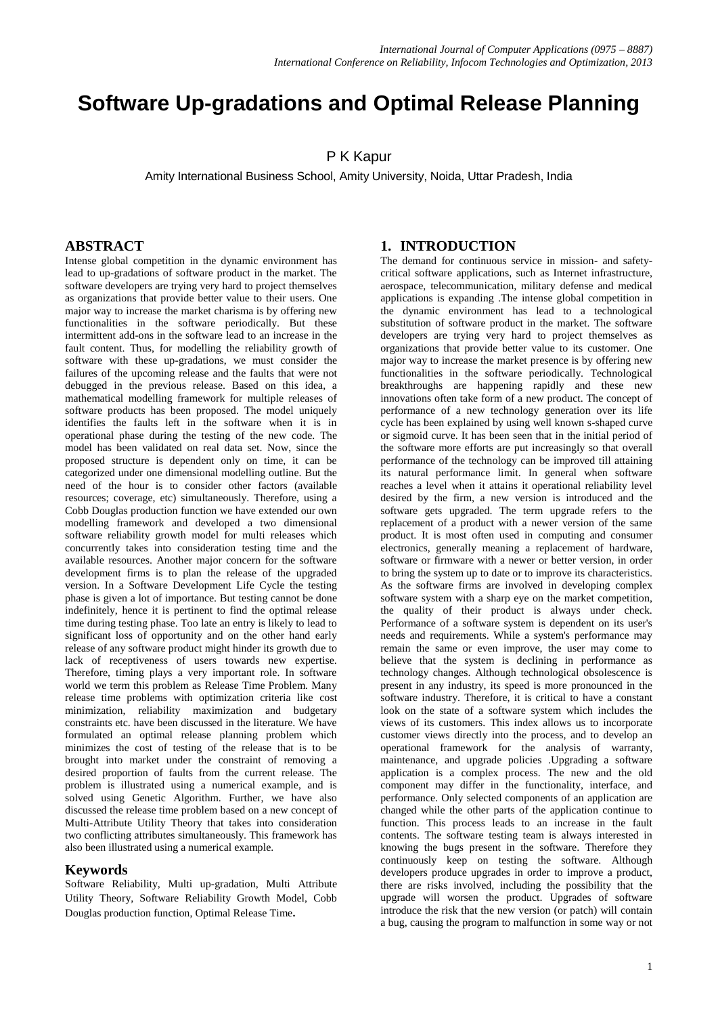# **Software Up-gradations and Optimal Release Planning**

P K Kapur

Amity International Business School, Amity University, Noida, Uttar Pradesh, India

## **ABSTRACT**

Intense global competition in the dynamic environment has lead to up-gradations of software product in the market. The software developers are trying very hard to project themselves as organizations that provide better value to their users. One major way to increase the market charisma is by offering new functionalities in the software periodically. But these intermittent add-ons in the software lead to an increase in the fault content. Thus, for modelling the reliability growth of software with these up-gradations, we must consider the failures of the upcoming release and the faults that were not debugged in the previous release. Based on this idea, a mathematical modelling framework for multiple releases of software products has been proposed. The model uniquely identifies the faults left in the software when it is in operational phase during the testing of the new code. The model has been validated on real data set. Now, since the proposed structure is dependent only on time, it can be categorized under one dimensional modelling outline. But the need of the hour is to consider other factors (available resources; coverage, etc) simultaneously. Therefore, using a Cobb Douglas production function we have extended our own modelling framework and developed a two dimensional software reliability growth model for multi releases which concurrently takes into consideration testing time and the available resources. Another major concern for the software development firms is to plan the release of the upgraded version. In a Software Development Life Cycle the testing phase is given a lot of importance. But testing cannot be done indefinitely, hence it is pertinent to find the optimal release time during testing phase. Too late an entry is likely to lead to significant loss of opportunity and on the other hand early release of any software product might hinder its growth due to lack of receptiveness of users towards new expertise. Therefore, timing plays a very important role. In software world we term this problem as Release Time Problem. Many release time problems with optimization criteria like cost minimization, reliability maximization and budgetary constraints etc. have been discussed in the literature. We have formulated an optimal release planning problem which minimizes the cost of testing of the release that is to be brought into market under the constraint of removing a desired proportion of faults from the current release. The problem is illustrated using a numerical example, and is solved using Genetic Algorithm. Further, we have also discussed the release time problem based on a new concept of Multi-Attribute Utility Theory that takes into consideration two conflicting attributes simultaneously. This framework has also been illustrated using a numerical example.

### **Keywords**

Software Reliability, Multi up-gradation, Multi Attribute Utility Theory, Software Reliability Growth Model, Cobb Douglas production function, Optimal Release Time**.**

## **1. INTRODUCTION**

The demand for continuous service in mission- and safetycritical software applications, such as Internet infrastructure, aerospace, telecommunication, military defense and medical applications is expanding .The intense global competition in the dynamic environment has lead to a technological substitution of software product in the market. The software developers are trying very hard to project themselves as organizations that provide better value to its customer. One major way to increase the market presence is by offering new functionalities in the software periodically. Technological breakthroughs are happening rapidly and these new innovations often take form of a new product. The concept of performance of a new technology generation over its life cycle has been explained by using well known s-shaped curve or sigmoid curve. It has been seen that in the initial period of the software more efforts are put increasingly so that overall performance of the technology can be improved till attaining its natural performance limit. In general when software reaches a level when it attains it operational reliability level desired by the firm, a new version is introduced and the software gets upgraded. The term upgrade refers to the replacement of a product with a newer version of the same product. It is most often used in [computing](http://en.wikipedia.org/wiki/Computing) and [consumer](http://en.wikipedia.org/wiki/Consumer_electronics)  [electronics,](http://en.wikipedia.org/wiki/Consumer_electronics) generally meaning a replacement of [hardware,](http://en.wikipedia.org/wiki/Hardware) [software](http://en.wikipedia.org/wiki/Software) or [firmware](http://en.wikipedia.org/wiki/Firmware) with a newer or better version, in order to bring the system up to date or to improve its characteristics. As the software firms are involved in developing complex software system with a sharp eye on the market competition, the quality of their product is always under check. Performance of a software system is dependent on its user's needs and requirements. While a system's performance may remain the same or even improve, the user may come to believe that the system is declining in performance as technology changes. Although technological obsolescence is present in any industry, its speed is more pronounced in the software industry. Therefore, it is critical to have a constant look on the state of a software system which includes the views of its customers. This index allows us to incorporate customer views directly into the process, and to develop an operational framework for the analysis of warranty, maintenance, and upgrade policies .Upgrading a software application is a complex process. The new and the old component may differ in the functionality, interface, and performance. Only selected components of an application are changed while the other parts of the application continue to function. This process leads to an increase in the fault contents. The software testing team is always interested in knowing the bugs present in the software. Therefore they continuously keep on testing the software. Although developers produce upgrades in order to improve a product, there are risks involved, including the possibility that the upgrade will worsen the product. Upgrades of software introduce the risk that the new version (or patch) will contain a [bug,](http://en.wikipedia.org/wiki/Software_bug) causing the program to malfunction in some way or not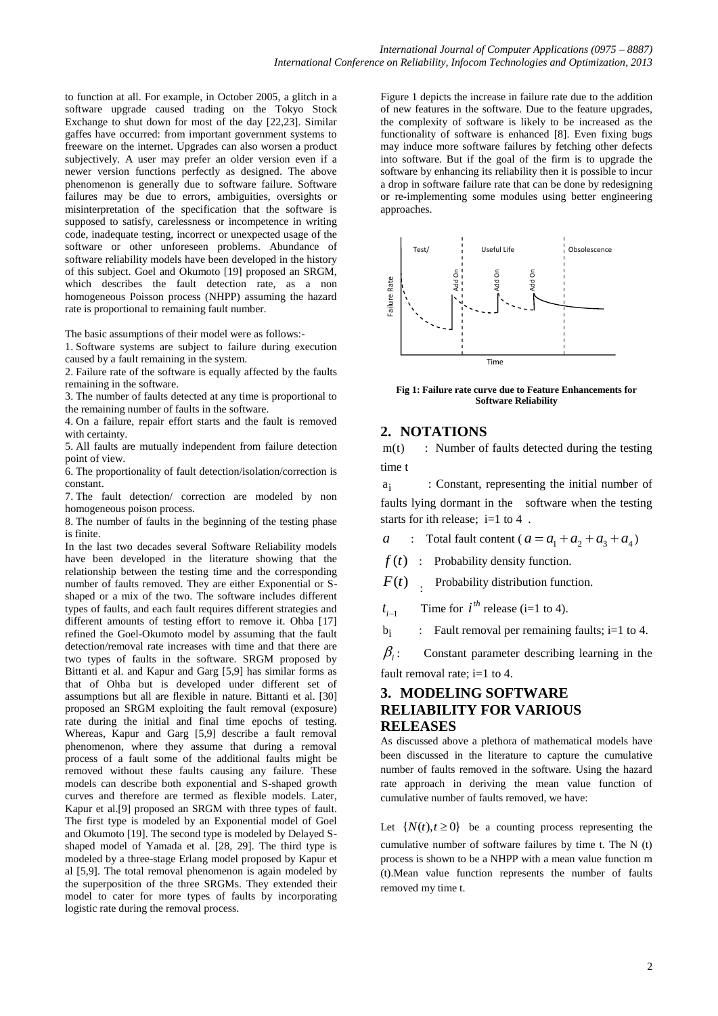to function at all. For example, in October 2005, a glitch in a software upgrade caused trading on the [Tokyo Stock](http://en.wikipedia.org/wiki/Tokyo_Stock_Exchange)  [Exchange](http://en.wikipedia.org/wiki/Tokyo_Stock_Exchange) to shut down for most of the day [22,23]. Similar gaffes have occurred: from important government systems to [freeware](http://en.wikipedia.org/wiki/Freeware) on the internet. Upgrades can also worsen a product subjectively. A user may prefer an older version even if a newer version functions perfectly as designed. The above phenomenon is generally due to software failure. Software failures may be due to errors, ambiguities, oversights or misinterpretation of the specification that the software is supposed to satisfy, carelessness or incompetence in writing code, inadequate testing, incorrect or unexpected usage of the software or other unforeseen problems. Abundance of software reliability models have been developed in the history of this subject. Goel and Okumoto [19] proposed an SRGM, which describes the fault detection rate, as a non homogeneous Poisson process (NHPP) assuming the hazard rate is proportional to remaining fault number.

The basic assumptions of their model were as follows:-

1. Software systems are subject to failure during execution caused by a fault remaining in the system.

2. Failure rate of the software is equally affected by the faults remaining in the software.

3. The number of faults detected at any time is proportional to the remaining number of faults in the software.

4. On a failure, repair effort starts and the fault is removed with certainty.

5. All faults are mutually independent from failure detection point of view.

6. The proportionality of fault detection/isolation/correction is constant.

7. The fault detection/ correction are modeled by non homogeneous poison process.

8. The number of faults in the beginning of the testing phase is finite.

In the last two decades several Software Reliability models have been developed in the literature showing that the relationship between the testing time and the corresponding number of faults removed. They are either Exponential or Sshaped or a mix of the two. The software includes different types of faults, and each fault requires different strategies and different amounts of testing effort to remove it. Ohba [17] refined the Goel-Okumoto model by assuming that the fault detection/removal rate increases with time and that there are two types of faults in the software. SRGM proposed by Bittanti et al. and Kapur and Garg [5,9] has similar forms as that of Ohba but is developed under different set of assumptions but all are flexible in nature. Bittanti et al. [30] proposed an SRGM exploiting the fault removal (exposure) rate during the initial and final time epochs of testing. Whereas, Kapur and Garg [5,9] describe a fault removal phenomenon, where they assume that during a removal process of a fault some of the additional faults might be removed without these faults causing any failure. These models can describe both exponential and S-shaped growth curves and therefore are termed as flexible models. Later, Kapur et al.[9] proposed an SRGM with three types of fault. The first type is modeled by an Exponential model of Goel and Okumoto [19]. The second type is modeled by Delayed Sshaped model of Yamada et al. [28, 29]. The third type is modeled by a three-stage Erlang model proposed by Kapur et al [5,9]. The total removal phenomenon is again modeled by the superposition of the three SRGMs. They extended their model to cater for more types of faults by incorporating logistic rate during the removal process.

Figure 1 depicts the increase in failure rate due to the addition of new features in the software. Due to the feature upgrades, the complexity of software is likely to be increased as the functionality of software is enhanced [8]. Even fixing bugs may induce more software failures by fetching other defects into software. But if the goal of the firm is to upgrade the software by enhancing its reliability then it is possible to incur a drop in software failure rate that can be done by redesigning or re-implementing some modules using better engineering approaches.



**Fig 1: Failure rate curve due to Feature Enhancements for Software Reliability**

## **2. NOTATIONS**

 $m(t)$  : Number of faults detected during the testing time t

a<sub>i</sub> a : Constant, representing the initial number of faults lying dormant in the software when the testing starts for ith release:  $i=1$  to 4.

*a* : Total fault content ( $a = a_1 + a_2 + a_3 + a_4$ )

 $f(t)$ : Probability density function.

 $F(t)$ : Probability distribution function.

 $t_{i-1}$ Time for  $i^{th}$  release (i=1 to 4).

b<sub>i</sub> : Fault removal per remaining faults; i=1 to 4.

 $\beta$ : : Constant parameter describing learning in the

fault removal rate; i=1 to 4.

## **3. MODELING SOFTWARE RELIABILITY FOR VARIOUS RELEASES**

As discussed above a plethora of mathematical models have been discussed in the literature to capture the cumulative number of faults removed in the software. Using the hazard rate approach in deriving the mean value function of cumulative number of faults removed, we have:

Let  $\{N(t), t \ge 0\}$  be a counting process representing the cumulative number of software failures by time t. The N (t) process is shown to be a NHPP with a mean value function m (t).Mean value function represents the number of faults removed my time t.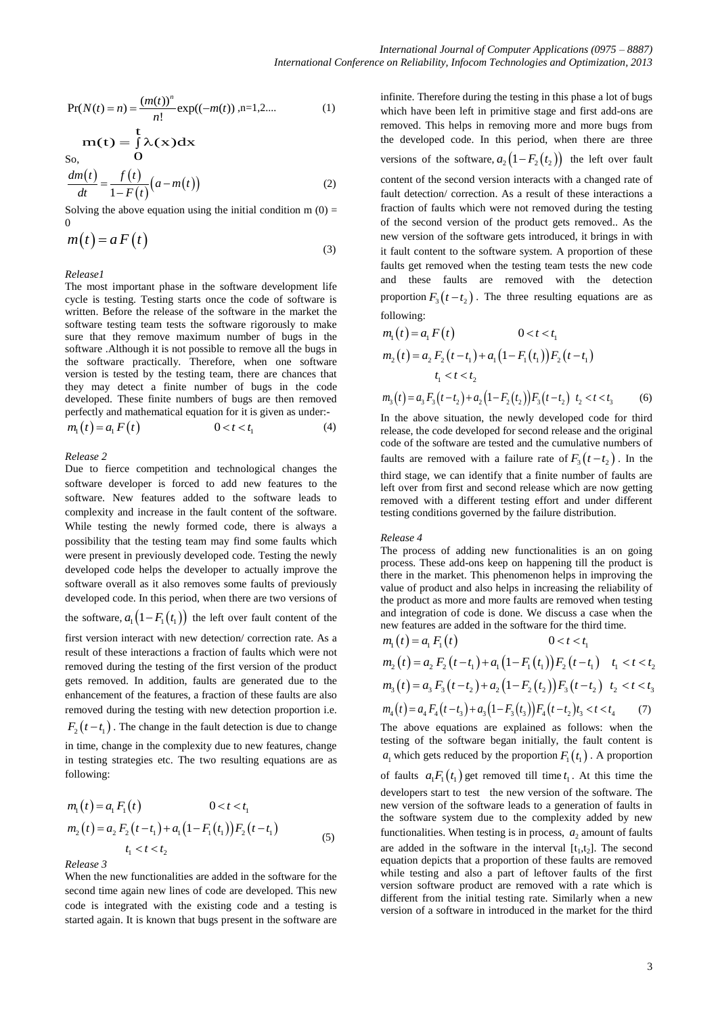$$
Pr(N(t) = n) = \frac{(m(t))^{n}}{n!} exp((-m(t)), n=1,2....)
$$
 (1)

$$
m(t) = \int_{0}^{t} \lambda(x) dx
$$
  
So,  

$$
\frac{dm(t)}{dt} = \frac{f(t)}{1 - F(t)} (a - m(t))
$$
 (2)

Solving the above equation using the initial condition  $m(0)$  =  $\Omega$ 

$$
m(t) = a F(t)
$$
\n(3)

#### *Release1*

The most important phase in the software development life cycle is testing. Testing starts once the code of software is written. Before the release of the software in the market the software testing team tests the software rigorously to make sure that they remove maximum number of bugs in the software .Although it is not possible to remove all the bugs in the software practically. Therefore, when one software version is tested by the testing team, there are chances that they may detect a finite number of bugs in the code developed. These finite numbers of bugs are then removed perfectly and mathematical equation for it is given as under:- *m t a F t t t* 1 1 1 <sup>0</sup> (4)

$$
m_1(t) = a_1 F(t) \t\t 0 < t < t_1 \t\t (4)
$$

*Release 2*

Due to fierce competition and technological changes the software developer is forced to add new features to the software. New features added to the software leads to complexity and increase in the fault content of the software. While testing the newly formed code, there is always a possibility that the testing team may find some faults which were present in previously developed code. Testing the newly developed code helps the developer to actually improve the software overall as it also removes some faults of previously developed code. In this period, when there are two versions of the software,  $a_1(1 - F_1(t_1))$  the left over fault content of the first version interact with new detection/ correction rate. As a result of these interactions a fraction of faults which were not removed during the testing of the first version of the product gets removed. In addition, faults are generated due to the enhancement of the features, a fraction of these faults are also removed during the testing with new detection proportion i.e.  $F_2(t-t_1)$ . The change in the fault detection is due to change in time, change in the complexity due to new features, change in testing strategies etc. The two resulting equations are as following:

$$
m_1(t) = a_1 F_1(t) \qquad 0 < t < t_1
$$
  
\n
$$
m_2(t) = a_2 F_2(t - t_1) + a_1 (1 - F_1(t_1)) F_2(t - t_1)
$$
  
\n
$$
t_1 < t < t_2
$$
  
\n
$$
Release 3
$$
\n(5)

When the new functionalities are added in the software for the second time again new lines of code are developed. This new code is integrated with the existing code and a testing is started again. It is known that bugs present in the software are infinite. Therefore during the testing in this phase a lot of bugs which have been left in primitive stage and first add-ons are removed. This helps in removing more and more bugs from the developed code. In this period, when there are three versions of the software,  $a_2(1-F_2(t_2))$  the left over fault content of the second version interacts with a changed rate of fault detection/ correction. As a result of these interactions a fraction of faults which were not removed during the testing of the second version of the product gets removed.. As the new version of the software gets introduced, it brings in with it fault content to the software system. A proportion of these faults get removed when the testing team tests the new code and these faults are removed with the detection proportion  $F_3(t-t_2)$ . The three resulting equations are as following:

$$
m_1(t) = a_1 F(t) \qquad 0 < t < t_1
$$
  
\n
$$
m_2(t) = a_2 F_2(t - t_1) + a_1 (1 - F_1(t_1)) F_2(t - t_1)
$$
  
\n
$$
t_1 < t < t_2
$$
  
\n
$$
m_3(t) = a_3 F_3(t - t_2) + a_2 (1 - F_2(t_2)) F_3(t - t_2) t_2 < t < t_3
$$
 (6)

In the above situation, the newly developed code for third release, the code developed for second release and the original code of the software are tested and the cumulative numbers of faults are removed with a failure rate of  $F_3(t-t_2)$ . In the third stage, we can identify that a finite number of faults are left over from first and second release which are now getting removed with a different testing effort and under different testing conditions governed by the failure distribution.

#### *Release 4*

The process of adding new functionalities is an on going process. These add-ons keep on happening till the product is there in the market. This phenomenon helps in improving the value of product and also helps in increasing the reliability of the product as more and more faults are removed when testing and integration of code is done. We discuss a case when the

new features are added in the software for the third time.  
\n
$$
m_1(t) = a_1 F_1(t) \qquad 0 < t < t_1
$$
\n
$$
m_2(t) = a_2 F_2(t - t_1) + a_1 (1 - F_1(t_1)) F_2(t - t_1) \qquad t_1 < t < t_2
$$
\n
$$
m_3(t) = a_3 F_3(t - t_2) + a_2 (1 - F_2(t_2)) F_3(t - t_2) \qquad t_2 < t < t_3
$$

$$
m_3(t) = a_3 F_3(t - t_2) + a_2 (1 - F_2(t_2)) F_3(t - t_2) t_2 < t < t_3
$$
  
\n
$$
m_4(t) = a_4 F_4(t - t_3) + a_3 (1 - F_3(t_3)) F_4(t - t_2) t_3 < t < t_4
$$
 (7)

The above equations are explained as follows: when the testing of the software began initially, the fault content is  $a_1$  which gets reduced by the proportion  $F_1(t_1)$ . A proportion of faults  $a_1 F_1(t_1)$  get removed till time  $t_1$ . At this time the developers start to test the new version of the software. The new version of the software leads to a generation of faults in the software system due to the complexity added by new functionalities. When testing is in process,  $a_2$  amount of faults are added in the software in the interval  $[t_1,t_2]$ . The second equation depicts that a proportion of these faults are removed while testing and also a part of leftover faults of the first version software product are removed with a rate which is different from the initial testing rate. Similarly when a new version of a software in introduced in the market for the third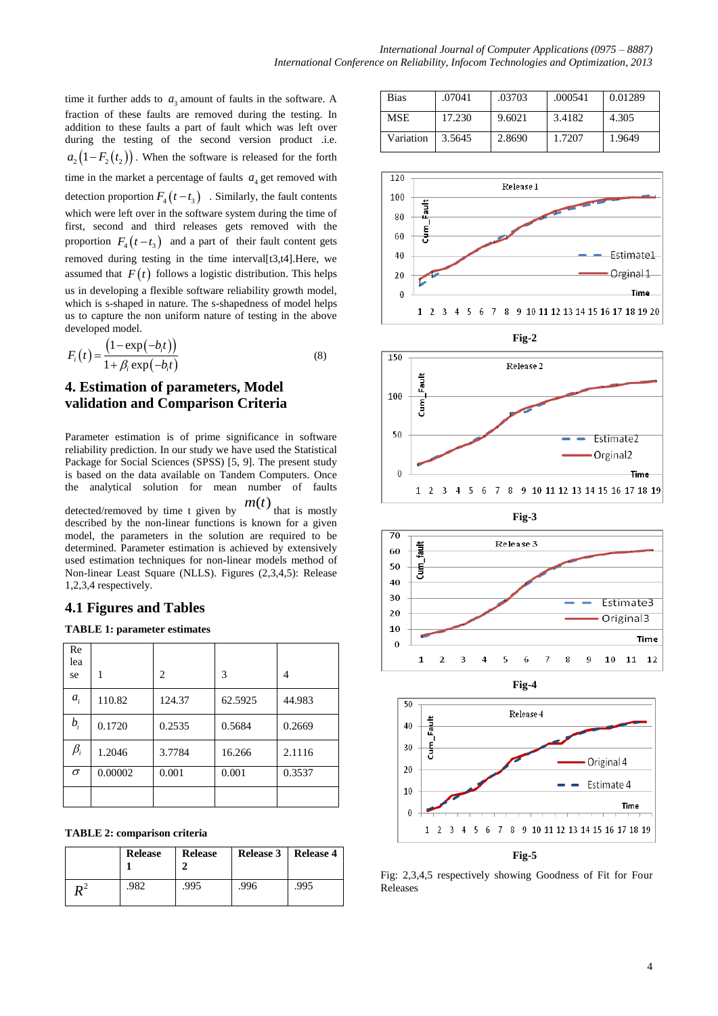time it further adds to  $a_3$  amount of faults in the software. A fraction of these faults are removed during the testing. In addition to these faults a part of fault which was left over during the testing of the second version product .i.e.  $a_2(1-F_2(t_2))$ . When the software is released for the forth time in the market a percentage of faults  $a_4$  get removed with detection proportion  $F_4(t-t_3)$ . Similarly, the fault contents which were left over in the software system during the time of first, second and third releases gets removed with the proportion  $F_4(t-t_3)$  and a part of their fault content gets removed during testing in the time interval[t3,t4].Here, we assumed that  $F(t)$  follows a logistic distribution. This helps us in developing a flexible software reliability growth model, which is s-shaped in nature. The s-shapedness of model helps us to capture the non uniform nature of testing in the above developed model.

$$
F_i(t) = \frac{\left(1 - \exp(-b_i t)\right)}{1 + \beta_i \exp(-b_i t)}
$$
\n(8)

## **4. Estimation of parameters, Model validation and Comparison Criteria**

Parameter estimation is of prime significance in software reliability prediction. In our study we have used the Statistical Package for Social Sciences (SPSS) [5, 9]. The present study is based on the data available on Tandem Computers. Once the analytical solution for mean number of faults

detected/removed by time t given by  $m(t)$  that is mostly described by the non-linear functions is known for a given model, the parameters in the solution are required to be determined. Parameter estimation is achieved by extensively used estimation techniques for non-linear models method of Non-linear Least Square (NLLS). Figures (2,3,4,5): Release 1,2,3,4 respectively.

## **4.1 Figures and Tables**

### **TABLE 1: parameter estimates**

| Re<br>lea                      |         |                |         |        |
|--------------------------------|---------|----------------|---------|--------|
| se                             |         | $\overline{c}$ | 3       | 4      |
| $a_i$                          | 110.82  | 124.37         | 62.5925 | 44.983 |
| $b_i$                          | 0.1720  | 0.2535         | 0.5684  | 0.2669 |
| $\beta_{\scriptscriptstyle i}$ | 1.2046  | 3.7784         | 16.266  | 2.1116 |
| $\sigma$                       | 0.00002 | 0.001          | 0.001   | 0.3537 |
|                                |         |                |         |        |

#### **TABLE 2: comparison criteria**

|                | <b>Release</b> | <b>Release</b> |      | Release 3   Release 4 |
|----------------|----------------|----------------|------|-----------------------|
| $\mathbf{n}^2$ | 982            | .995           | .996 | .995                  |

| <b>Bias</b> | .07041 | .03703 | .000541 | 0.01289 |
|-------------|--------|--------|---------|---------|
| MSE.        | 17.230 | 9.6021 | 3.4182  | 4.305   |
| Variation   | 3.5645 | 2.8690 | 1.7207  | 1.9649  |













Fig: 2,3,4,5 respectively showing Goodness of Fit for Four Releases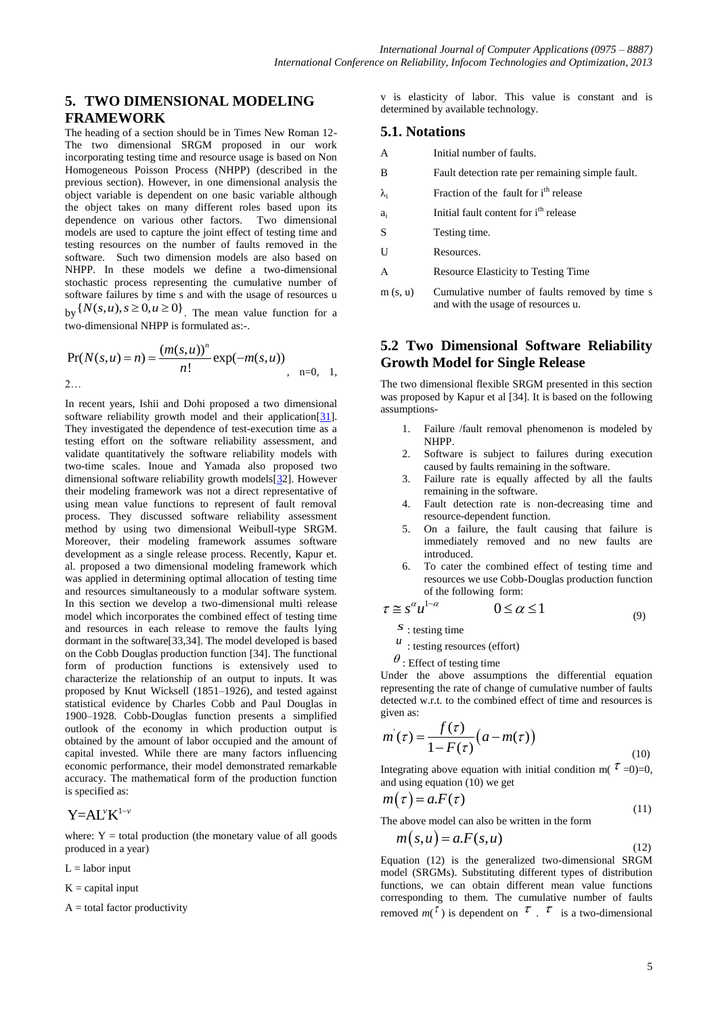## **5. TWO DIMENSIONAL MODELING FRAMEWORK**

The heading of a section should be in Times New Roman 12- The two dimensional SRGM proposed in our work incorporating testing time and resource usage is based on Non Homogeneous Poisson Process (NHPP) (described in the previous section). However, in one dimensional analysis the object variable is dependent on one basic variable although the object takes on many different roles based upon its dependence on various other factors. Two dimensional models are used to capture the joint effect of testing time and testing resources on the number of faults removed in the software. Such two dimension models are also based on NHPP. In these models we define a two-dimensional stochastic process representing the cumulative number of software failures by time s and with the usage of resources u by  $\{N(s, u), s \ge 0, u \ge 0\}$ . The mean value function for a

two-dimensional NHPP is formulated as:-.  
\n
$$
Pr(N(s, u) = n) = \frac{(m(s, u))^n}{n!} exp(-m(s, u)),
$$
 n=0, 1, 2...

In recent years, Ishii and Dohi proposed a two dimensional software reliability growth model and their application[31]. They investigated the dependence of test-execution time as a testing effort on the software reliability assessment, and validate quantitatively the software reliability models with two-time scales. Inoue and Yamada also proposed two dimensional software reliability growth models[32]. However their modeling framework was not a direct representative of using mean value functions to represent of fault removal process. They discussed software reliability assessment method by using two dimensional Weibull-type SRGM. Moreover, their modeling framework assumes software development as a single release process. Recently, Kapur et. al. proposed a two dimensional modeling framework which was applied in determining optimal allocation of testing time and resources simultaneously to a modular software system. In this section we develop a two-dimensional multi release model which incorporates the combined effect of testing time and resources in each release to remove the faults lying dormant in the software[33,34]. The model developed is based on the Cobb Douglas production function [34]. The functional form of [production functions](http://en.wikipedia.org/wiki/Production_function) is extensively used to characterize the relationship of an output to inputs. It was proposed by [Knut Wicksell](http://en.wikipedia.org/wiki/Knut_Wicksell) (1851–1926), and tested against statistical evidence by Charles Cobb and Paul Douglas in 1900–1928. Cobb-Douglas function presents a simplified outlook of the economy in which production output is obtained by the amount of labor occupied and the amount of capital invested. While there are many factors influencing economic performance, their model demonstrated remarkable accuracy. The mathematical form of the production function is specified as:

 $Y=AI^{\nu}K^{1-\nu}$ 

where:  $Y =$  total production (the monetary value of all goods produced in a year)

 $L =$ labor input

 $K =$  [capital](http://en.wikipedia.org/wiki/Capital_%28economics%29) input

 $A =$  [total factor productivity](http://en.wikipedia.org/wiki/Total_factor_productivity)

v is elasticity of labor. This value is constant and is determined by available technology.

#### **5.1. Notations**

A Initial number of faults.

- B Fault detection rate per remaining simple fault.
- $\lambda_i$  Fraction of the fault for i<sup>th</sup> release
- ai Initial fault content for i<sup>th</sup> release
- S Testing time.
- U Resources.
- Α Resource Elasticity to Testing Time
- m (s, u) Cumulative number of faults removed by time s and with the usage of resources u.

## **5.2 Two Dimensional Software Reliability Growth Model for Single Release**

The two dimensional flexible SRGM presented in this section was proposed by Kapur et al [34]. It is based on the following assumptions-

- 1. Failure /fault removal phenomenon is modeled by NHPP.
- 2. Software is subject to failures during execution caused by faults remaining in the software.
- 3. Failure rate is equally affected by all the faults remaining in the software.
- 4. Fault detection rate is non-decreasing time and resource-dependent function.
- 5. On a failure, the fault causing that failure is immediately removed and no new faults are introduced.
- 6. To cater the combined effect of testing time and resources we use Cobb-Douglas production function

of the following form:  
\n
$$
\tau \cong s^{\alpha} u^{1-\alpha} \qquad 0 \le \alpha \le 1
$$
\n(9)

*s* : testing time

 $\mu$ : testing resources (effort)

 $\theta$ : Effect of testing time

Under the above assumptions the differential equation representing the rate of change of cumulative number of faults detected w.r.t. to the combined effect of time and resources is given as:

given as:  
\n
$$
m^{'}(\tau) = \frac{f(\tau)}{1 - F(\tau)} \big( a - m(\tau) \big)
$$
\n(10)

Integrating above equation with initial condition m( $\tau = 0$ )=0, and using equation (10) we get

$$
m(\tau) = a.F(\tau)
$$

 (11) The above model can also be written in the form

$$
m(s, u) = a.F(s, u)
$$
\n<sup>(12)</sup>

Equation (12) is the generalized two-dimensional SRGM model (SRGMs). Substituting different types of distribution functions, we can obtain different mean value functions corresponding to them. The cumulative number of faults removed  $m(\tau)$  is dependent on  $\tau$ .  $\tau$  is a two-dimensional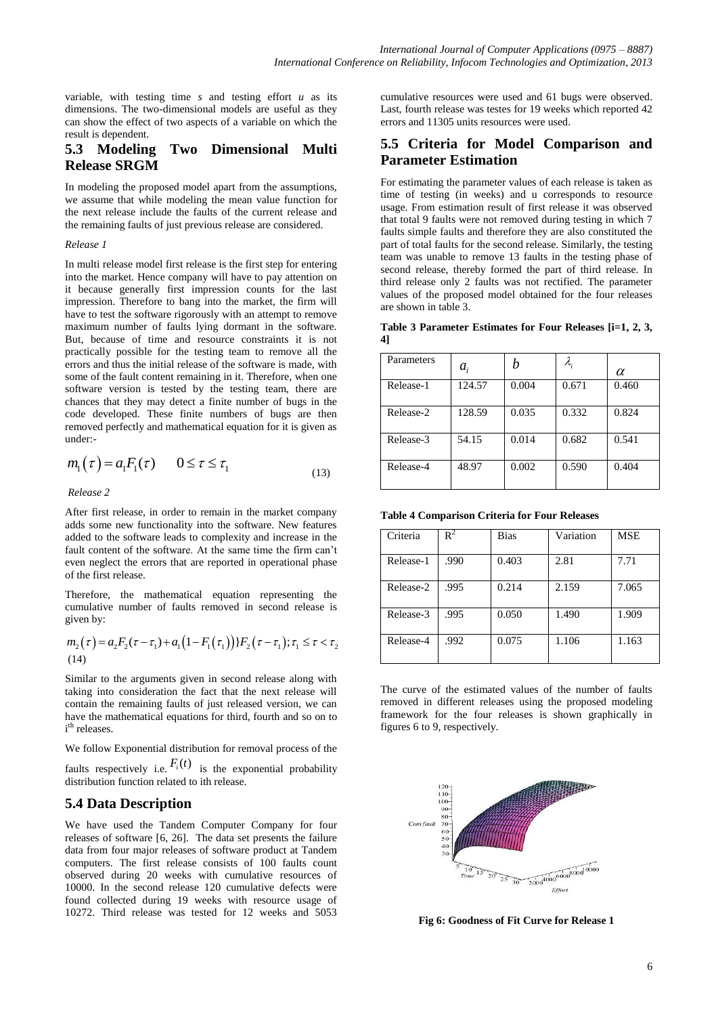variable, with testing time *s* and testing effort *u* as its dimensions. The two-dimensional models are useful as they can show the effect of two aspects of a variable on which the result is dependent.

## **5.3 Modeling Two Dimensional Multi Release SRGM**

In modeling the proposed model apart from the assumptions, we assume that while modeling the mean value function for the next release include the faults of the current release and the remaining faults of just previous release are considered.

#### *Release 1*

In multi release model first release is the first step for entering into the market. Hence company will have to pay attention on it because generally first impression counts for the last impression. Therefore to bang into the market, the firm will have to test the software rigorously with an attempt to remove maximum number of faults lying dormant in the software. But, because of time and resource constraints it is not practically possible for the testing team to remove all the errors and thus the initial release of the software is made, with some of the fault content remaining in it. Therefore, when one software version is tested by the testing team, there are chances that they may detect a finite number of bugs in the code developed. These finite numbers of bugs are then removed perfectly and mathematical equation for it is given as under:-

$$
m_1(\tau) = a_1 F_1(\tau) \qquad 0 \le \tau \le \tau_1 \tag{13}
$$

*Release 2*

After first release, in order to remain in the market company adds some new functionality into the software. New features added to the software leads to complexity and increase in the fault content of the software. At the same time the firm can't even neglect the errors that are reported in operational phase of the first release.

Therefore, the mathematical equation representing the cumulative number of faults removed in second release is given by:

$$
m_2(\tau) = a_2 F_2(\tau - \tau_1) + a_1 (1 - F_1(\tau_1)) \} F_2(\tau - \tau_1); \tau_1 \le \tau < \tau_2
$$
\n(14)

Similar to the arguments given in second release along with taking into consideration the fact that the next release will contain the remaining faults of just released version, we can have the mathematical equations for third, fourth and so on to i<sup>th</sup> releases.

We follow Exponential distribution for removal process of the faults respectively i.e.  $F_i(t)$  is the exponential probability distribution function related to ith release.

## **5.4 Data Description**

We have used the Tandem Computer Company for four releases of software [6, 26]. The data set presents the failure data from four major releases of software product at Tandem computers. The first release consists of 100 faults count observed during 20 weeks with cumulative resources of 10000. In the second release 120 cumulative defects were found collected during 19 weeks with resource usage of 10272. Third release was tested for 12 weeks and 5053

cumulative resources were used and 61 bugs were observed. Last, fourth release was testes for 19 weeks which reported 42 errors and 11305 units resources were used.

## **5.5 Criteria for Model Comparison and Parameter Estimation**

For estimating the parameter values of each release is taken as time of testing (in weeks) and u corresponds to resource usage. From estimation result of first release it was observed that total 9 faults were not removed during testing in which 7 faults simple faults and therefore they are also constituted the part of total faults for the second release. Similarly, the testing team was unable to remove 13 faults in the testing phase of second release, thereby formed the part of third release. In third release only 2 faults was not rectified. The parameter values of the proposed model obtained for the four releases are shown in table 3.

|    | Table 3 Parameter Estimates for Four Releases [i=1, 2, 3, |  |  |  |  |
|----|-----------------------------------------------------------|--|--|--|--|
| 41 |                                                           |  |  |  |  |

| Parameters | $a_{i}$ |       | λ,    | $\alpha$ |
|------------|---------|-------|-------|----------|
| Release-1  | 124.57  | 0.004 | 0.671 | 0.460    |
| Release-2  | 128.59  | 0.035 | 0.332 | 0.824    |
| Release-3  | 54.15   | 0.014 | 0.682 | 0.541    |
| Release-4  | 48.97   | 0.002 | 0.590 | 0.404    |

**Table 4 Comparison Criteria for Four Releases**

| Criteria  | $\mathsf{R}^2$ | <b>Bias</b> | Variation | <b>MSE</b> |
|-----------|----------------|-------------|-----------|------------|
| Release-1 | .990           | 0.403       | 2.81      | 7.71       |
| Release-2 | .995           | 0.214       | 2.159     | 7.065      |
| Release-3 | .995           | 0.050       | 1.490     | 1.909      |
| Release-4 | .992           | 0.075       | 1.106     | 1.163      |

The curve of the estimated values of the number of faults removed in different releases using the proposed modeling framework for the four releases is shown graphically in figures 6 to 9, respectively.



**Fig 6: Goodness of Fit Curve for Release 1**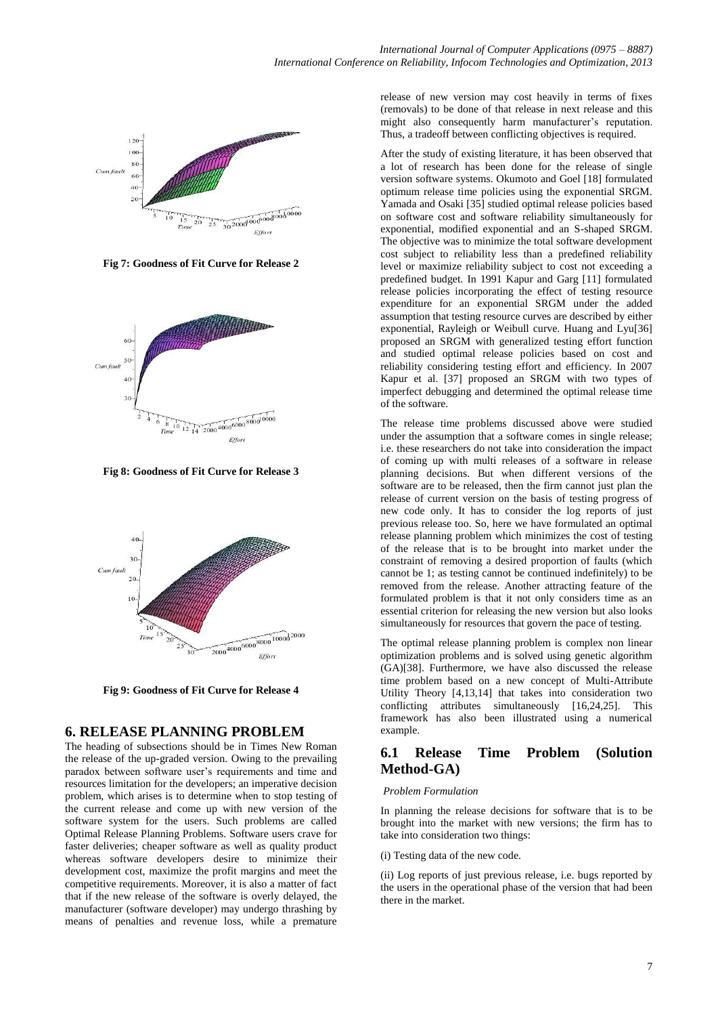

**Fig 7: Goodness of Fit Curve for Release 2**



**Fig 8: Goodness of Fit Curve for Release 3**



**Fig 9: Goodness of Fit Curve for Release 4**

## **6. RELEASE PLANNING PROBLEM**

The heading of subsections should be in Times New Roman the release of the up-graded version. Owing to the prevailing paradox between software user's requirements and time and resources limitation for the developers; an imperative decision problem, which arises is to determine when to stop testing of the current release and come up with new version of the software system for the users. Such problems are called Optimal Release Planning Problems. Software users crave for faster deliveries; cheaper software as well as quality product whereas software developers desire to minimize their development cost, maximize the profit margins and meet the competitive requirements. Moreover, it is also a matter of fact that if the new release of the software is overly delayed, the manufacturer (software developer) may undergo thrashing by means of penalties and revenue loss, while a premature

release of new version may cost heavily in terms of fixes (removals) to be done of that release in next release and this might also consequently harm manufacturer's reputation. Thus, a tradeoff between conflicting objectives is required.

After the study of existing literature, it has been observed that a lot of research has been done for the release of single version software systems. Okumoto and Goel [18] formulated optimum release time policies using the exponential SRGM. Yamada and Osaki [35] studied optimal release policies based on software cost and software reliability simultaneously for exponential, modified exponential and an S-shaped SRGM. The objective was to minimize the total software development cost subject to reliability less than a predefined reliability level or maximize reliability subject to cost not exceeding a predefined budget. In 1991 Kapur and Garg [11] formulated release policies incorporating the effect of testing resource expenditure for an exponential SRGM under the added assumption that testing resource curves are described by either exponential, Rayleigh or Weibull curve. Huang and Lyu[36] proposed an SRGM with generalized testing effort function and studied optimal release policies based on cost and reliability considering testing effort and efficiency. In 2007 Kapur et al. [37] proposed an SRGM with two types of imperfect debugging and determined the optimal release time of the software.

The release time problems discussed above were studied under the assumption that a software comes in single release; i.e. these researchers do not take into consideration the impact of coming up with multi releases of a software in release planning decisions. But when different versions of the software are to be released, then the firm cannot just plan the release of current version on the basis of testing progress of new code only. It has to consider the log reports of just previous release too. So, here we have formulated an optimal release planning problem which minimizes the cost of testing of the release that is to be brought into market under the constraint of removing a desired proportion of faults (which cannot be 1; as testing cannot be continued indefinitely) to be removed from the release. Another attracting feature of the formulated problem is that it not only considers time as an essential criterion for releasing the new version but also looks simultaneously for resources that govern the pace of testing.

The optimal release planning problem is complex non linear optimization problems and is solved using genetic algorithm (GA)[38]. Furthermore, we have also discussed the release time problem based on a new concept of Multi-Attribute Utility Theory [4,13,14] that takes into consideration two conflicting attributes simultaneously [16,24,25]. This framework has also been illustrated using a numerical example.

## **6.1 Release Time Problem (Solution Method-GA)**

#### *Problem Formulation*

In planning the release decisions for software that is to be brought into the market with new versions; the firm has to take into consideration two things:

(i) Testing data of the new code.

(ii) Log reports of just previous release, i.e. bugs reported by the users in the operational phase of the version that had been there in the market.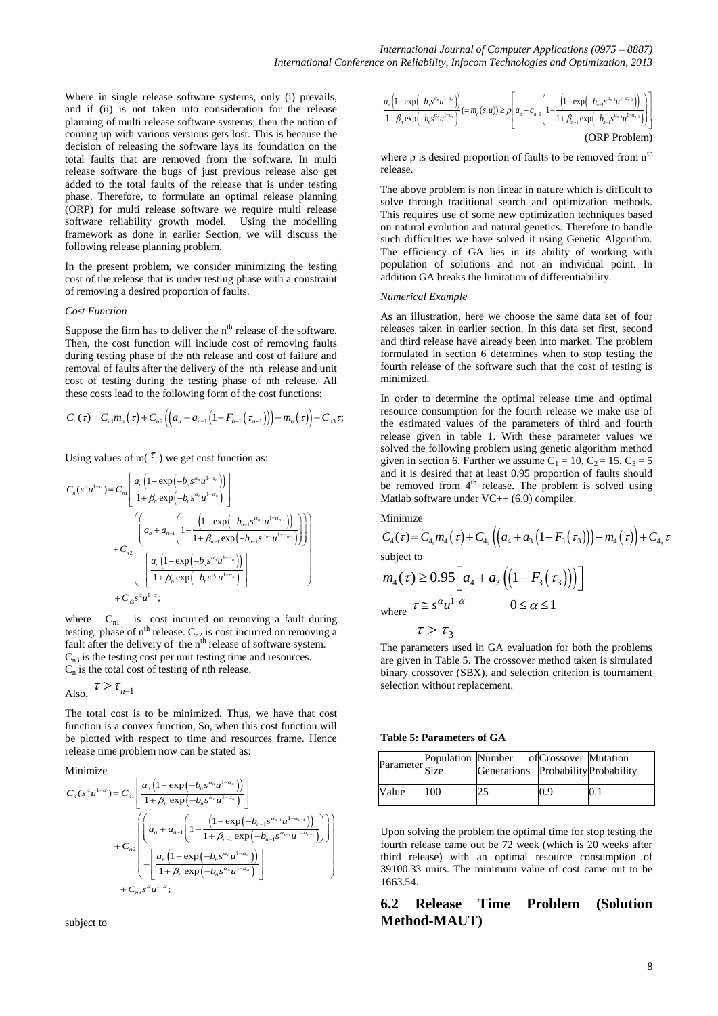Where in single release software systems, only (i) prevails, and if (ii) is not taken into consideration for the release planning of multi release software systems; then the notion of coming up with various versions gets lost. This is because the decision of releasing the software lays its foundation on the total faults that are removed from the software. In multi release software the bugs of just previous release also get added to the total faults of the release that is under testing phase. Therefore, to formulate an optimal release planning (ORP) for multi release software we require multi release software reliability growth model. Using the modelling framework as done in earlier Section, we will discuss the following release planning problem.

In the present problem, we consider minimizing the testing cost of the release that is under testing phase with a constraint of removing a desired proportion of faults.

#### *Cost Function*

Suppose the firm has to deliver the  $n<sup>th</sup>$  release of the software. Then, the cost function will include cost of removing faults during testing phase of the nth release and cost of failure and removal of faults after the delivery of the nth release and unit cost of testing during the testing phase of nth release. All

cost of testing during the testing phase of nth release. All these costs lead to the following form of the cost functions: 
$$
C_n(\tau) = C_{n1} m_n(\tau) + C_{n2} \left( \left( a_n + a_{n-1} \left( 1 - F_{n-1}(\tau_{n-1}) \right) \right) - m_n(\tau) \right) + C_{n3} \tau;
$$

Using values of m(
$$
\tau
$$
) we get cost function as:  
\n
$$
C_n(s^{\alpha}u^{1-\alpha}) = C_{n1} \left[ \frac{a_n \left(1 - \exp\left(-b_n s^{\alpha_n} u^{1-\alpha_n}\right)\right)}{1 + \beta_n \exp\left(-b_n s^{\alpha_n} u^{1-\alpha_n}\right)} \right]
$$
\n
$$
+ C_{n2} \left[ \left( a_n + a_{n-1} \left(1 - \frac{\left(1 - \exp\left(-b_{n-1} s^{\alpha_{n-1}} u^{1-\alpha_{n-1}}\right)\right)}{1 + \beta_{n-1} \exp\left(-b_{n-1} s^{\alpha_{n-1}} u^{1-\alpha_{n-1}}\right)} \right) \right] + C_{n2} \left[ -\left[ \frac{a_n \left(1 - \exp\left(-b_n s^{\alpha_n} u^{1-\alpha_n}\right)\right)}{1 + \beta_n \exp\left(-b_n s^{\alpha_n} u^{1-\alpha_n}\right)} \right] + C_{n3} s^{\alpha} u^{1-\alpha}; \right]
$$

where  $C_{n1}$  is cost incurred on removing a fault during testing phase of  $n<sup>th</sup>$  release. C<sub>n2</sub> is cost incurred on removing a fault after the delivery of the  $n<sup>th</sup>$  release of software system.  $C_{n3}$  is the testing cost per unit testing time and resources.  $C_n$  is the total cost of testing of nth release.

Also, 
$$
\tau > \tau_{n-1}
$$

The total cost is to be minimized. Thus, we have that cost function is a convex function, So, when this cost function will be plotted with respect to time and resources frame. Hence

release time problem now can be stated as:  
\nMinimize  
\n
$$
C_n(s^{\alpha}u^{1-\alpha}) = C_n \left[ \frac{a_n \left(1 - \exp(-b_n s^{\alpha_n} u^{1-\alpha_n})\right)}{1 + \beta_n \exp(-b_n s^{\alpha_n} u^{1-\alpha_n})} \right]
$$
\n
$$
+ C_n \left[ \left( a_n + a_{n-1} \left(1 - \frac{\left(1 - \exp(-b_{n-1} s^{\alpha_{n-1}} u^{1-\alpha_{n-1}})\right)}{1 + \beta_{n-1} \exp(-b_{n-1} s^{\alpha_{n-1}} u^{1-\alpha_{n-1}})} \right) \right] \right]
$$
\n
$$
+ C_{n3} \left( \frac{a_n \left(1 - \exp(-b_n s^{\alpha_n} u^{1-\alpha_n})\right)}{1 + \beta_n \exp(-b_n s^{\alpha_n} u^{1-\alpha_n})} \right)
$$
\n
$$
+ C_{n3} s^{\alpha} u^{1-\alpha};
$$

subject to

$$
\frac{a_n \left(1 - \exp\left(-b_n s^{\alpha_n} u^{1 - \alpha_n}\right)\right)}{1 + \beta_n \exp\left(-b_n s^{\alpha_n} u^{1 - \alpha_n}\right)} \left(= m_n(s, u)\right) \ge \rho \left[a_n + a_{n-1} \left(1 - \frac{\left(1 - \exp\left(-b_{n-1} s^{\alpha_{n-1}} u^{1 - \alpha_{n-1}}\right)\right)}{1 + \beta_{n-1} \exp\left(-b_{n-1} s^{\alpha_{n-1}} u^{1 - \alpha_{n-1}}\right)}\right)\right]
$$
\n(ORP Problem)

where  $\rho$  is desired proportion of faults to be removed from  $n<sup>th</sup>$ release.

The above problem is non linear in nature which is difficult to solve through traditional search and optimization methods. This requires use of some new optimization techniques based on natural evolution and natural genetics. Therefore to handle such difficulties we have solved it using Genetic Algorithm. The efficiency of GA lies in its ability of working with population of solutions and not an individual point. In addition GA breaks the limitation of differentiability.

#### *Numerical Example*

Minimize

As an illustration, here we choose the same data set of four releases taken in earlier section. In this data set first, second and third release have already been into market. The problem formulated in section 6 determines when to stop testing the fourth release of the software such that the cost of testing is minimized.

In order to determine the optimal release time and optimal resource consumption for the fourth release we make use of the estimated values of the parameters of third and fourth release given in table 1. With these parameter values we solved the following problem using genetic algorithm method given in section 6. Further we assume  $C_1 = 10$ ,  $C_2 = 15$ ,  $C_3 = 5$ and it is desired that at least 0.95 proportion of faults should be removed from  $4<sup>th</sup>$  release. The problem is solved using Matlab software under VC++ (6.0) compiler.

Matlab software under VCH (6.0) compiler.

\nMinimize

\n
$$
C_4(\tau) = C_{4_1} m_4(\tau) + C_{4_2} \left( \left( a_4 + a_3 \left( 1 - F_3(\tau_3) \right) \right) - m_4(\tau) \right) + C_{4_3} \tau
$$
\nsubject to

\n
$$
m_4(\tau) \geq 0.95 \left[ a_4 + a_3 \left( \left( 1 - F_3(\tau_3) \right) \right) \right]
$$
\nwhere

\n
$$
\tau \cong s^{\alpha} u^{1-\alpha} \qquad 0 \leq \alpha \leq 1
$$
\n
$$
\tau > \tau_3
$$
\nThe parameters used in GA evaluation for both the problems.

The parameters used in GA evaluation for both the problems are given in Table 5. The crossover method taken is simulated binary crossover (SBX), and selection criterion is tournament selection without replacement.

#### **Table 5: Parameters of GA**

| Parameter <sup>5</sup> Size |     | Population Number of Crossover Mutation<br>Generations Probability Probability |     |  |
|-----------------------------|-----|--------------------------------------------------------------------------------|-----|--|
| Value                       | 100 |                                                                                | 0.9 |  |

Upon solving the problem the optimal time for stop testing the fourth release came out be 72 week (which is 20 weeks after third release) with an optimal resource consumption of 39100.33 units. The minimum value of cost came out to be 1663.54.

## **6.2 Release Time Problem (Solution Method-MAUT)**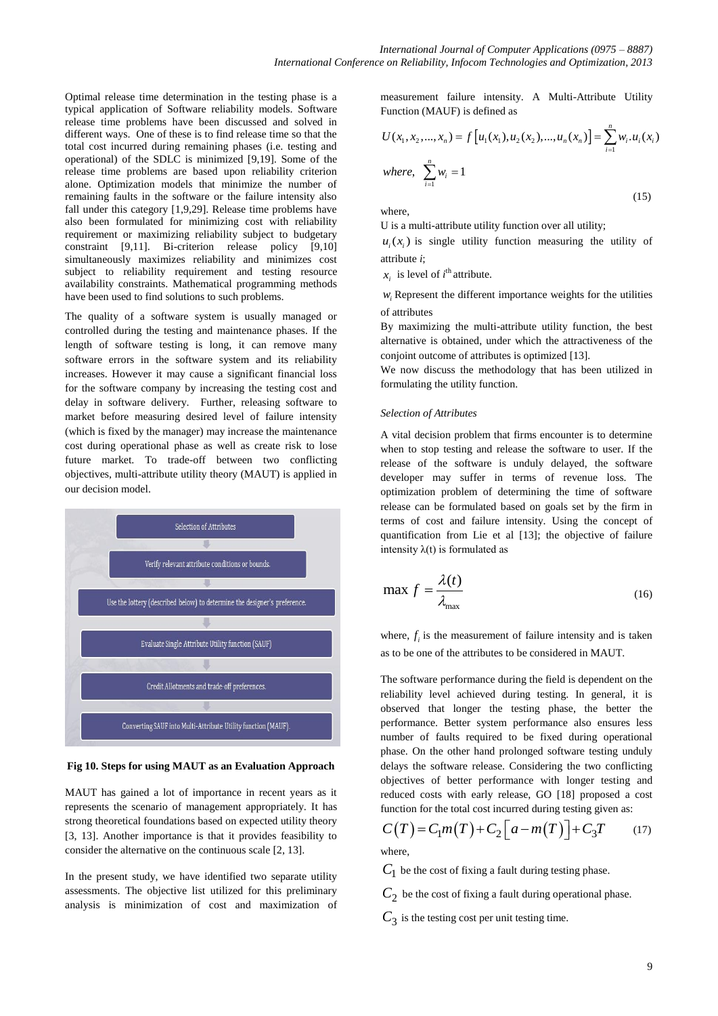Optimal release time determination in the testing phase is a typical application of Software reliability models. Software release time problems have been discussed and solved in different ways. One of these is to find release time so that the total cost incurred during remaining phases (i.e. testing and operational) of the SDLC is minimized [9,19]. Some of the release time problems are based upon reliability criterion alone. Optimization models that minimize the number of remaining faults in the software or the failure intensity also fall under this category [1,9,29]. Release time problems have also been formulated for minimizing cost with reliability requirement or maximizing reliability subject to budgetary constraint [9,11]. Bi-criterion release policy [9,10] simultaneously maximizes reliability and minimizes cost subject to reliability requirement and testing resource availability constraints. Mathematical programming methods have been used to find solutions to such problems.

The quality of a software system is usually managed or controlled during the testing and maintenance phases. If the length of software testing is long, it can remove many software errors in the software system and its reliability increases. However it may cause a significant financial loss for the software company by increasing the testing cost and delay in software delivery. Further, releasing software to market before measuring desired level of failure intensity (which is fixed by the manager) may increase the maintenance cost during operational phase as well as create risk to lose future market. To trade-off between two conflicting objectives, multi-attribute utility theory (MAUT) is applied in our decision model.



**Fig 10. Steps for using MAUT as an Evaluation Approach**

MAUT has gained a lot of importance in recent years as it represents the scenario of management appropriately. It has strong theoretical foundations based on expected utility theory [3, 13]. Another importance is that it provides feasibility to consider the alternative on the continuous scale [2, 13].

In the present study, we have identified two separate utility assessments. The objective list utilized for this preliminary analysis is minimization of cost and maximization of

measurement failure intensity. A Multi-Attribute Utility Function (MAUF) is defined as

Function (MAUF) is defined as  
\n
$$
U(x_1, x_2,..., x_n) = f[u_1(x_1), u_2(x_2),..., u_n(x_n)] = \sum_{i=1}^{n} w_i.u_i(x_i)
$$
\nwhere, 
$$
\sum_{i=1}^{n} w_i = 1
$$
\n(15)

where,

U is a multi-attribute utility function over all utility;

 $u_i(x_i)$  is single utility function measuring the utility of attribute *i*;

 $x_i$  is level of *i*<sup>th</sup> attribute.

 $w<sub>i</sub>$  Represent the different importance weights for the utilities of attributes

By maximizing the multi-attribute utility function, the best alternative is obtained, under which the attractiveness of the conjoint outcome of attributes is optimized [13].

We now discuss the methodology that has been utilized in formulating the utility function.

#### *Selection of Attributes*

A vital decision problem that firms encounter is to determine when to stop testing and release the software to user. If the release of the software is unduly delayed, the software developer may suffer in terms of revenue loss. The optimization problem of determining the time of software release can be formulated based on goals set by the firm in terms of cost and failure intensity. Using the concept of quantification from Lie et al [13]; the objective of failure intensity  $\lambda(t)$  is formulated as

$$
\max f = \frac{\lambda(t)}{\lambda_{\max}} \tag{16}
$$

where,  $f_i$  is the measurement of failure intensity and is taken as to be one of the attributes to be considered in MAUT.

The software performance during the field is dependent on the reliability level achieved during testing. In general, it is observed that longer the testing phase, the better the performance. Better system performance also ensures less number of faults required to be fixed during operational phase. On the other hand prolonged software testing unduly delays the software release. Considering the two conflicting objectives of better performance with longer testing and reduced costs with early release, GO [18] proposed a cost

function for the total cost incurred during testing given as:  
\n
$$
C(T) = C_1 m(T) + C_2 \left[ a - m(T) \right] + C_3 T
$$
\n(17)

where,

 $C_1$  be the cost of fixing a fault during testing phase.

*C*2 be the cost of fixing a fault during operational phase.

 $C_3$  is the testing cost per unit testing time.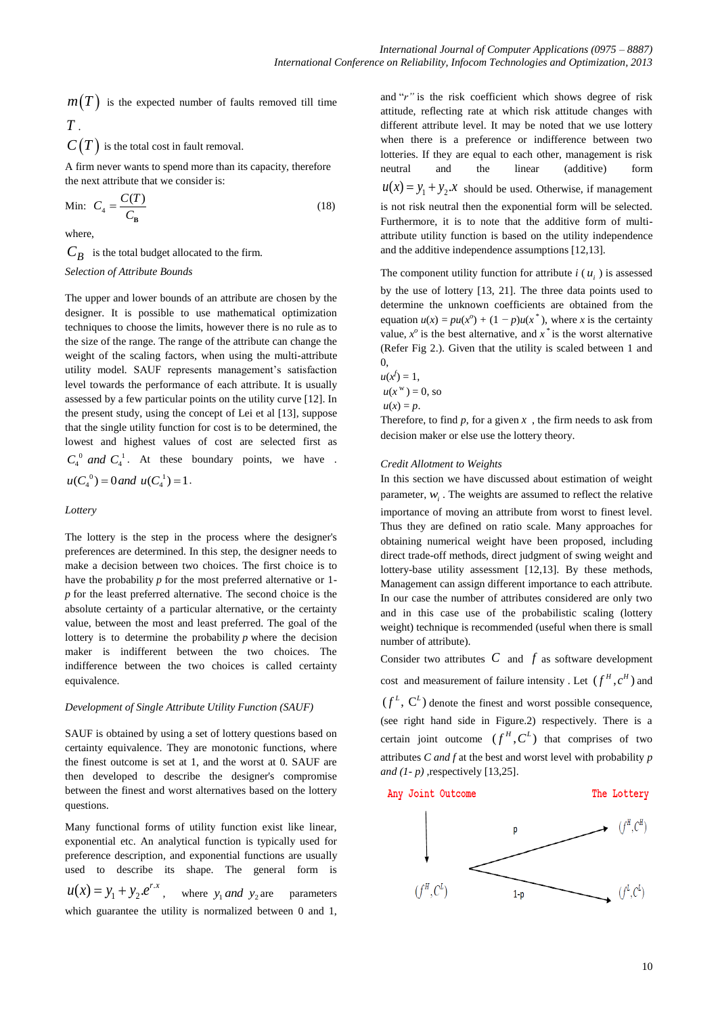$m(T)$  is the expected number of faults removed till time *T* .

 $C(T)$  is the total cost in fault removal.

A firm never wants to spend more than its capacity, therefore the next attribute that we consider is:

$$
\text{Min:} \quad C_4 = \frac{C(T)}{C_{\text{B}}} \tag{18}
$$

where,

 $C_B$  is the total budget allocated to the firm.

### *Selection of Attribute Bounds*

(f(f) in the representation<br>of finding model this interest of mathematical the matrix is the absorption of the state of the state of the state of the state of the state of the state of the state of the state of the state The upper and lower bounds of an attribute are chosen by the designer. It is possible to use mathematical optimization techniques to choose the limits, however there is no rule as to the size of the range. The range of the attribute can change the weight of the scaling factors, when using the multi-attribute utility model*.* SAUF represents management's satisfaction level towards the performance of each attribute. It is usually assessed by a few particular points on the utility curve [12]. In the present study, using the concept of Lei et al [13], suppose that the single utility function for cost is to be determined, the lowest and highest values of cost are selected first as  $C_4^0$  *and*  $C_4^1$ . At these boundary points, we have .  $u(C_4^0) = 0$  and  $u(C_4^1) = 1$ .

#### *Lottery*

The lottery is the step in the process where the designer's preferences are determined. In this step, the designer needs to make a decision between two choices. The first choice is to have the probability *p* for the most preferred alternative or 1*p* for the least preferred alternative. The second choice is the absolute certainty of a particular alternative, or the certainty value, between the most and least preferred. The goal of the lottery is to determine the probability *p* where the decision maker is indifferent between the two choices. The indifference between the two choices is called certainty equivalence.

#### *Development of Single Attribute Utility Function (SAUF)*

SAUF is obtained by using a set of lottery questions based on certainty equivalence. They are monotonic functions, where the finest outcome is set at 1, and the worst at 0. SAUF are then developed to describe the designer's compromise between the finest and worst alternatives based on the lottery questions.

Many functional forms of utility function exist like linear, exponential etc. An analytical function is typically used for preference description, and exponential functions are usually used to describe its shape. The general form is  $u(x) = y_1 + y_2 e^{rx}$ , where  $y_1$  and  $y_2$  are parameters which guarantee the utility is normalized between 0 and 1.

and "*r"* is the risk coefficient which shows degree of risk attitude, reflecting rate at which risk attitude changes with different attribute level. It may be noted that we use lottery when there is a preference or indifference between two lotteries. If they are equal to each other, management is risk neutral and the linear (additive) form  $u(x) = y_1 + y_2 \cdot x$  should be used. Otherwise, if management is not risk neutral then the exponential form will be selected. Furthermore, it is to note that the additive form of multiattribute utility function is based on the utility independence and the additive independence assumptions [12,13].

The component utility function for attribute  $i$  ( $u_i$ ) is assessed by the use of lottery [13, 21]. The three data points used to determine the unknown coefficients are obtained from the equation  $u(x) = pu(x^0) + (1 - p)u(x^*)$ , where *x* is the certainty value,  $x^{\circ}$  is the best alternative, and  $x^*$  is the worst alternative (Refer Fig 2.). Given that the utility is scaled between 1 and 0,

$$
u(x^f) = 1,
$$
  
 
$$
u(x^w) = 0
$$
, so  
 
$$
u(x) = p.
$$

Therefore, to find  $p$ , for a given  $x$ , the firm needs to ask from decision maker or else use the lottery theory.

#### *Credit Allotment to Weights*

In this section we have discussed about estimation of weight parameter,  $w_i$ . The weights are assumed to reflect the relative importance of moving an attribute from worst to finest level. Thus they are defined on ratio scale. Many approaches for obtaining numerical weight have been proposed, including direct trade-off methods, direct judgment of swing weight and lottery-base utility assessment [12,13]. By these methods, Management can assign different importance to each attribute. In our case the number of attributes considered are only two and in this case use of the probabilistic scaling (lottery weight) technique is recommended (useful when there is small number of attribute).

Consider two attributes  $C$  and  $f$  as software development cost and measurement of failure intensity . Let  $(f^H, c^H)$  and  $(f<sup>L</sup>, C<sup>L</sup>)$  denote the finest and worst possible consequence, (see right hand side in Figure.2) respectively. There is a certain joint outcome  $(f^H, C^L)$  that comprises of two attributes *C and f* at the best and worst level with probability *p and (1- p)* ,respectively [13,25].

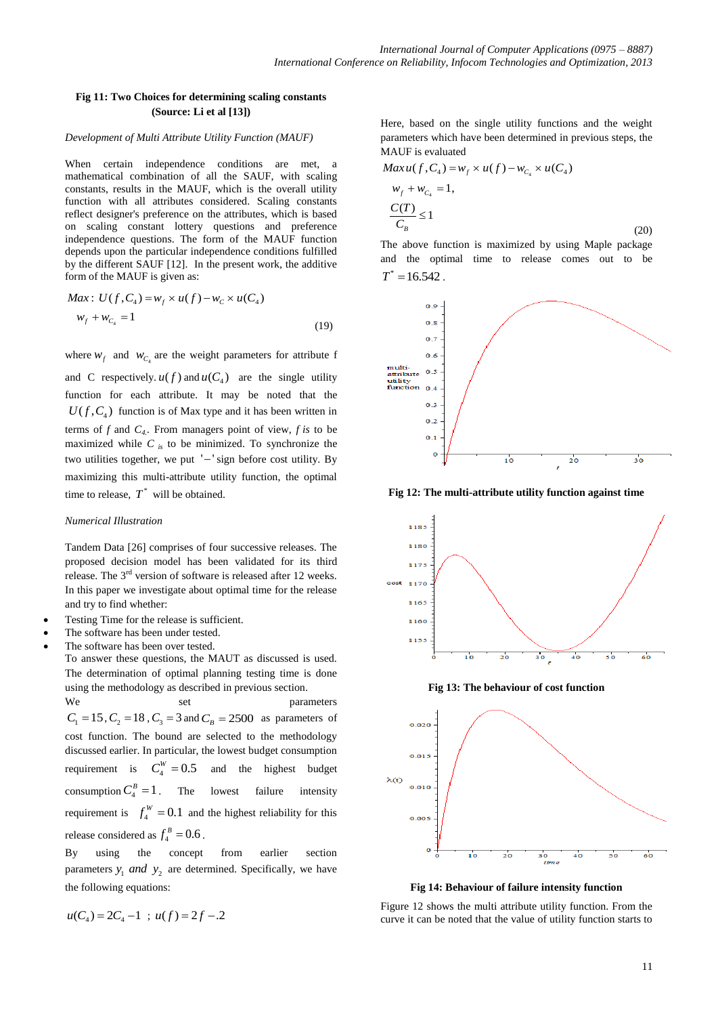#### **Fig 11: Two Choices for determining scaling constants (Source: Li et al [13])**

#### *Development of Multi Attribute Utility Function (MAUF)*

When certain independence conditions are met, a mathematical combination of all the SAUF, with scaling constants, results in the MAUF, which is the overall utility function with all attributes considered. Scaling constants reflect designer's preference on the attributes, which is based on scaling constant lottery questions and preference independence questions. The form of the MAUF function depends upon the particular independence conditions fulfilled by the different SAUF [12]. In the present work, the additive

form of the MAUF is given as:  
\n
$$
Max: U(f, C_4) = w_f \times u(f) - w_c \times u(C_4)
$$
\n
$$
w_f + w_{C_4} = 1
$$
\n(19)

where  $W_f$  and  $W_{C_4}$  are the weight parameters for attribute f and C respectively.  $u(f)$  and  $u(C_4)$  are the single utility function for each attribute. It may be noted that the  $U(f, C<sub>4</sub>)$  function is of Max type and it has been written in terms of  $f$  and  $C_4$ . From managers point of view,  $f$  *is* to be maximized while *C is* to be minimized. To synchronize the two utilities together, we put '-'sign before cost utility. By maximizing this multi-attribute utility function, the optimal

#### *Numerical Illustration*

Tandem Data [26] comprises of four successive releases. The proposed decision model has been validated for its third release. The 3<sup>rd</sup> version of software is released after 12 weeks. In this paper we investigate about optimal time for the release and try to find whether:

Testing Time for the release is sufficient.

time to release,  $T^*$  will be obtained.

- The software has been under tested.
- The software has been over tested.

To answer these questions, the MAUT as discussed is used. The determination of optimal planning testing time is done using the methodology as described in previous section.

We set parameters  $C_1 = 15$ ,  $C_2 = 18$ ,  $C_3 = 3$  and  $C_B = 2500$  as parameters of cost function. The bound are selected to the methodology discussed earlier. In particular, the lowest budget consumption requirement is  $C_4^W = 0.5$  and the highest budget consumption  $C_4^B = 1$ . The lowest failure intensity requirement is  $f_4^W = 0.1$  and the highest reliability for this release considered as  $f_4^B = 0.6$ .

By using the concept from earlier section parameters  $y_1$  *and*  $y_2$  are determined. Specifically, we have the following equations:

$$
u(C_4) = 2C_4 - 1 \; ; \; u(f) = 2f - 2
$$

Here, based on the single utility functions and the weight parameters which have been determined in previous steps, the

MAUF is evaluated  
\n
$$
Maxu(f, C_4) = w_f \times u(f) - w_{C_4} \times u(C_4)
$$
\n
$$
w_f + w_{C_4} = 1,
$$
\n
$$
\frac{C(T)}{C_B} \le 1
$$
\n(20)

The above function is maximized by using Maple package and the optimal time to release comes out to be  $T^* = 16.542$ .



**Fig 12: The multi-attribute utility function against time**



**Fig 13: The behaviour of cost function**



**Fig 14: Behaviour of failure intensity function**

Figure 12 shows the multi attribute utility function. From the curve it can be noted that the value of utility function starts to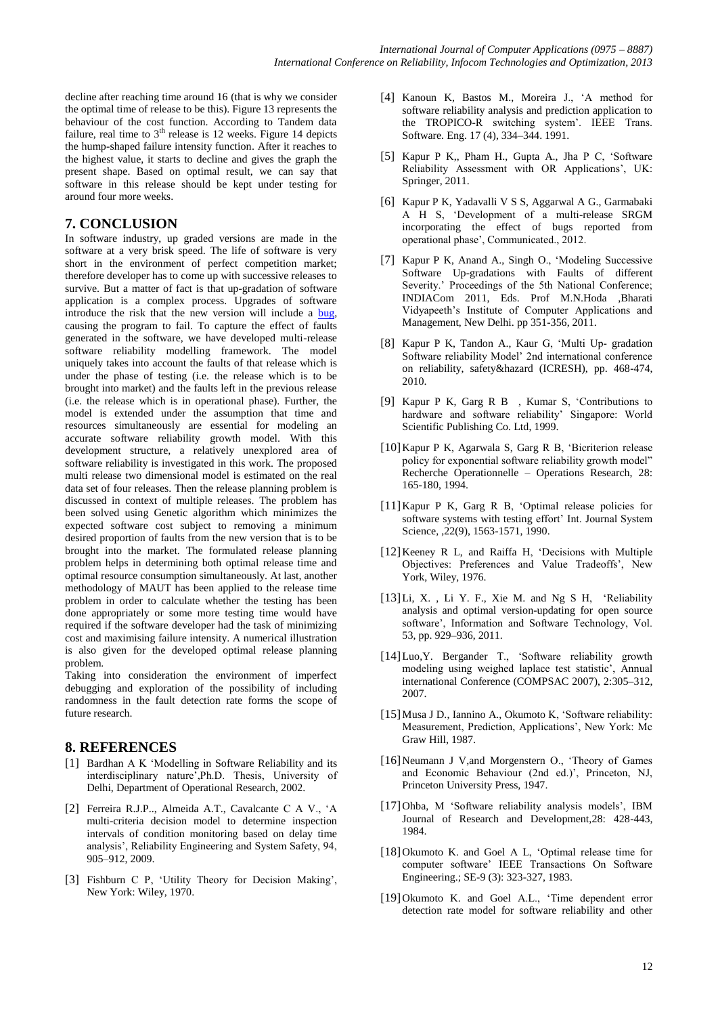decline after reaching time around 16 (that is why we consider the optimal time of release to be this). Figure 13 represents the behaviour of the cost function. According to Tandem data failure, real time to  $3<sup>th</sup>$  release is 12 weeks. Figure 14 depicts the hump-shaped failure intensity function. After it reaches to the highest value, it starts to decline and gives the graph the present shape. Based on optimal result, we can say that software in this release should be kept under testing for around four more weeks.

## **7. CONCLUSION**

In software industry, up graded versions are made in the software at a very brisk speed. The life of software is very short in the environment of perfect competition market; therefore developer has to come up with successive releases to survive. But a matter of fact is that up-gradation of software application is a complex process. Upgrades of software introduce the risk that the new version will include a [bug,](http://en.wikipedia.org/wiki/Software_bug)  causing the program to fail. To capture the effect of faults generated in the software, we have developed multi-release software reliability modelling framework. The model uniquely takes into account the faults of that release which is under the phase of testing (i.e. the release which is to be brought into market) and the faults left in the previous release (i.e. the release which is in operational phase). Further, the model is extended under the assumption that time and resources simultaneously are essential for modeling an accurate software reliability growth model. With this development structure, a relatively unexplored area of software reliability is investigated in this work. The proposed multi release two dimensional model is estimated on the real data set of four releases. Then the release planning problem is discussed in context of multiple releases. The problem has been solved using Genetic algorithm which minimizes the expected software cost subject to removing a minimum desired proportion of faults from the new version that is to be brought into the market. The formulated release planning problem helps in determining both optimal release time and optimal resource consumption simultaneously. At last, another methodology of MAUT has been applied to the release time problem in order to calculate whether the testing has been done appropriately or some more testing time would have required if the software developer had the task of minimizing cost and maximising failure intensity. A numerical illustration is also given for the developed optimal release planning problem.

Taking into consideration the environment of imperfect debugging and exploration of the possibility of including randomness in the fault detection rate forms the scope of future research.

## **8. REFERENCES**

- [1] Bardhan A K 'Modelling in Software Reliability and its interdisciplinary nature',Ph.D. Thesis, University of Delhi, Department of Operational Research, 2002.
- [2] Ferreira R.J.P.., Almeida A.T., Cavalcante C A V., 'A multi-criteria decision model to determine inspection intervals of condition monitoring based on delay time analysis', Reliability Engineering and System Safety, 94, 905–912, 2009.
- [3] Fishburn C P, 'Utility Theory for Decision Making', New York: Wiley, 1970.
- [4] Kanoun K, Bastos M., Moreira J., 'A method for software reliability analysis and prediction application to the TROPICO-R switching system'. IEEE Trans. Software. Eng. 17 (4), 334–344. 1991.
- [5] Kapur P K,, Pham H., Gupta A., Jha P C, 'Software Reliability Assessment with OR Applications', UK: Springer, 2011.
- [6] Kapur P K, Yadavalli V S S, Aggarwal A G., Garmabaki A H S, 'Development of a multi-release SRGM incorporating the effect of bugs reported from operational phase', Communicated., 2012.
- [7] Kapur P K, Anand A., Singh O., 'Modeling Successive Software Up-gradations with Faults of different Severity.' Proceedings of the 5th National Conference; INDIACom 2011, Eds. Prof M.N.Hoda ,Bharati Vidyapeeth's Institute of Computer Applications and Management, New Delhi. pp 351-356, 2011.
- [8] Kapur P K, Tandon A., Kaur G, 'Multi Up- gradation Software reliability Model' 2nd international conference on reliability, safety&hazard (ICRESH), pp. 468-474, 2010.
- [9] Kapur P K, Garg R B , Kumar S, 'Contributions to hardware and software reliability' Singapore: World Scientific Publishing Co. Ltd, 1999.
- [10]Kapur P K, Agarwala S, Garg R B, 'Bicriterion release policy for exponential software reliability growth model" Recherche Operationnelle – Operations Research, 28: 165-180, 1994.
- [11]Kapur P K, Garg R B, 'Optimal release policies for software systems with testing effort' Int. Journal System Science, ,22(9), 1563-1571, 1990.
- [12] Keeney R L, and Raiffa H, 'Decisions with Multiple Objectives: Preferences and Value Tradeoffs', New York, Wiley, 1976.
- [13]Li, X. , Li Y. F., Xie M. and Ng S H, 'Reliability analysis and optimal version-updating for open source software', Information and Software Technology, Vol. 53, pp. 929–936, 2011.
- [14]Luo,Y. Bergander T., 'Software reliability growth modeling using weighed laplace test statistic', Annual international Conference (COMPSAC 2007), 2:305–312, 2007.
- [15] Musa J D., Iannino A., Okumoto K. 'Software reliability: Measurement, Prediction, Applications', New York: Mc Graw Hill, 1987.
- [16]Neumann J V,and Morgenstern O., 'Theory of Games and Economic Behaviour (2nd ed.)', Princeton, NJ, Princeton University Press, 1947.
- [17] Ohba, M 'Software reliability analysis models', IBM Journal of Research and Development,28: 428-443, 1984.
- [18]Okumoto K. and Goel A L, 'Optimal release time for computer software' IEEE Transactions On Software Engineering.; SE-9 (3): 323-327, 1983.
- [19]Okumoto K. and Goel A.L., 'Time dependent error detection rate model for software reliability and other